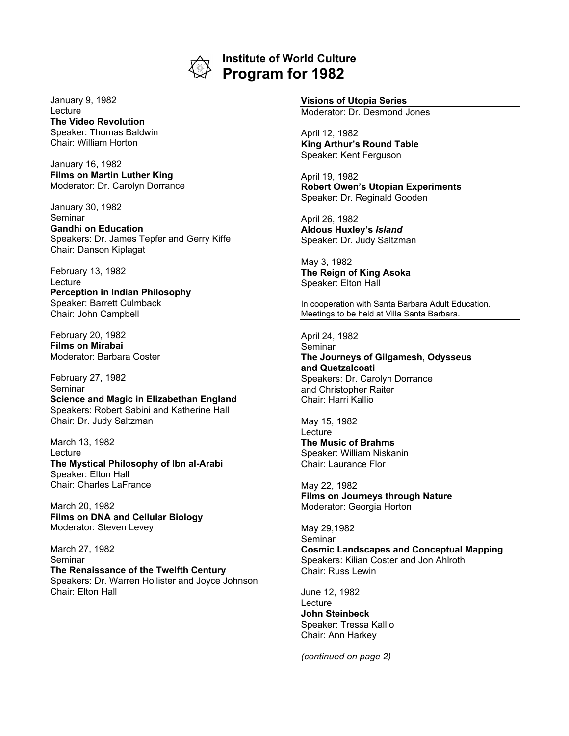

## **Institute of World Culture Program for 1982**

January 9, 1982 Lecture **The Video Revolution** Speaker: Thomas Baldwin Chair: William Horton

January 16, 1982 **Films on Martin Luther King** Moderator: Dr. Carolyn Dorrance

January 30, 1982 Seminar **Gandhi on Education** Speakers: Dr. James Tepfer and Gerry Kiffe Chair: Danson Kiplagat

February 13, 1982 Lecture **Perception in Indian Philosophy** Speaker: Barrett Culmback Chair: John Campbell

February 20, 1982 **Films on Mirabai** Moderator: Barbara Coster

February 27, 1982 Seminar **Science and Magic in Elizabethan England** Speakers: Robert Sabini and Katherine Hall Chair: Dr. Judy Saltzman

March 13, 1982 Lecture **The Mystical Philosophy of Ibn al-Arabi** Speaker: Elton Hall Chair: Charles LaFrance

March 20, 1982 **Films on DNA and Cellular Biology** Moderator: Steven Levey

March 27, 1982 Seminar **The Renaissance of the Twelfth Century** Speakers: Dr. Warren Hollister and Joyce Johnson Chair: Elton Hall

## **Visions of Utopia Series**

Moderator: Dr. Desmond Jones

April 12, 1982 **King Arthur's Round Table** Speaker: Kent Ferguson

April 19, 1982 **Robert Owen's Utopian Experiments** Speaker: Dr. Reginald Gooden

April 26, 1982 **Aldous Huxley's** *Island* Speaker: Dr. Judy Saltzman

May 3, 1982 **The Reign of King Asoka** Speaker: Elton Hall

In cooperation with Santa Barbara Adult Education. Meetings to be held at Villa Santa Barbara.

April 24, 1982 **Seminar The Journeys of Gilgamesh, Odysseus and Quetzalcoati** Speakers: Dr. Carolyn Dorrance and Christopher Raiter Chair: Harri Kallio

May 15, 1982 **Lecture The Music of Brahms** Speaker: William Niskanin Chair: Laurance Flor

May 22, 1982 **Films on Journeys through Nature** Moderator: Georgia Horton

May 29,1982 Seminar **Cosmic Landscapes and Conceptual Mapping** Speakers: Kilian Coster and Jon Ahlroth Chair: Russ Lewin

June 12, 1982 **Lecture John Steinbeck** Speaker: Tressa Kallio Chair: Ann Harkey

*(continued on page 2)*